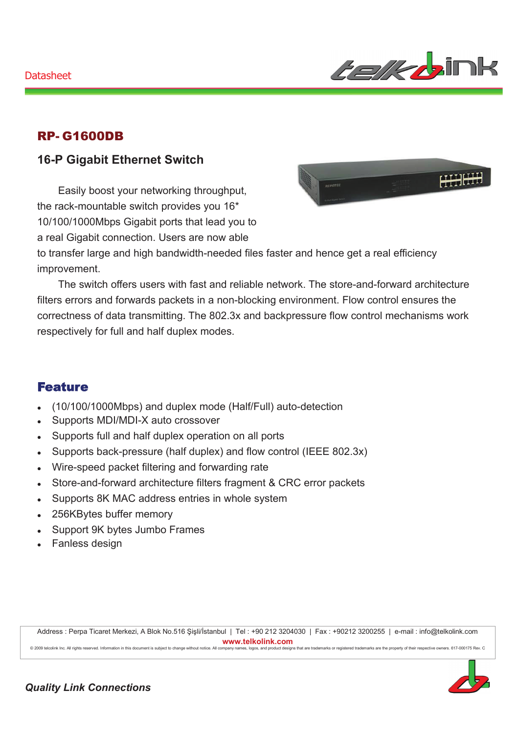

#### RP- G1600DB

#### **16-P Gigabit Ethernet Switch**

Easily boost your networking throughput, the rack-mountable switch provides you 16\* 10/100/1000Mbps Gigabit ports that lead you to a real Gigabit connection. Users are now able



to transfer large and high bandwidth-needed files faster and hence get a real efficiency improvement.

The switch offers users with fast and reliable network. The store-and-forward architecture filters errors and forwards packets in a non-blocking environment. Flow control ensures the correctness of data transmitting. The 802.3x and backpressure flow control mechanisms work respectively for full and half duplex modes.

#### Feature

- <sup>z</sup> (10/100/1000Mbps) and duplex mode (Half/Full) auto-detection
- Supports MDI/MDI-X auto crossover
- Supports full and half duplex operation on all ports
- Supports back-pressure (half duplex) and flow control (IEEE 802.3x)
- Wire-speed packet filtering and forwarding rate
- Store-and-forward architecture filters fragment & CRC error packets
- Supports 8K MAC address entries in whole system
- 256KBytes buffer memory
- Support 9K bytes Jumbo Frames
- Fanless design

Address : Perpa Ticaret Merkezi, A Blok No.516 Şişli/İstanbul | Tel : +90 212 3204030 | Fax : +90212 3200255 | e-mail : info@telkolink.com  $www.telkolink.com$ 

@ 2009 telcolink Inc. All rights reserved. Information in this document is subject to change without notice. All company name s, logos, and product de signs that are trademarks or registered trademarks are the property of their respective owners. 617-000175 Rev. C